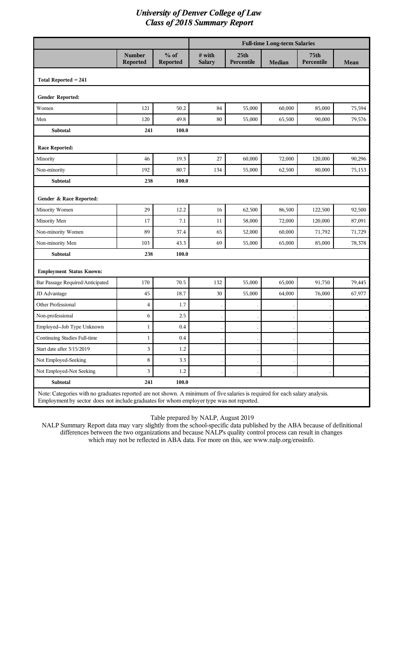|                                  |                           |                    | <b>Full-time Long-term Salaries</b> |                                |        |                           |             |  |
|----------------------------------|---------------------------|--------------------|-------------------------------------|--------------------------------|--------|---------------------------|-------------|--|
|                                  | <b>Number</b><br>Reported | $%$ of<br>Reported | # with<br><b>Salary</b>             | 25 <sub>th</sub><br>Percentile | Median | <b>75th</b><br>Percentile | <b>Mean</b> |  |
| Total Reported $= 241$           |                           |                    |                                     |                                |        |                           |             |  |
| Gender Reported:                 |                           |                    |                                     |                                |        |                           |             |  |
| Women                            | 121                       | 50.2               | 84                                  | 55,000                         | 60,000 | 85,000                    | 75,594      |  |
| Men                              | 120                       | 49.8               | 80                                  | 55,000                         | 65,500 | 90,000                    | 79,576      |  |
| <b>Subtotal</b>                  | 241                       | 100.0              |                                     |                                |        |                           |             |  |
| <b>Race Reported:</b>            |                           |                    |                                     |                                |        |                           |             |  |
| Minority                         | 46                        | 19.3               | 27                                  | 60,000                         | 72,000 | 120,000                   | 90,296      |  |
| Non-minority                     | 192                       | 80.7               | 134                                 | 55,000                         | 62,500 | 80,000                    | 75,153      |  |
| Subtotal                         | 238                       | 100.0              |                                     |                                |        |                           |             |  |
| Gender & Race Reported:          |                           |                    |                                     |                                |        |                           |             |  |
| Minority Women                   | 29                        | 12.2               | 16                                  | 62,500                         | 86,500 | 122,500                   | 92,500      |  |
| Minority Men                     | 17                        | 7.1                | 11                                  | 58,000                         | 72,000 | 120,000                   | 87,091      |  |
| Non-minority Women               | 89                        | 37.4               | 65                                  | 52,000                         | 60,000 | 71,792                    | 71,729      |  |
| Non-minority Men                 | 103                       | 43.3               | 69                                  | 55,000                         | 65,000 | 85,000                    | 78,378      |  |
| Subtotal                         | 238                       | 100.0              |                                     |                                |        |                           |             |  |
| <b>Employment Status Known:</b>  |                           |                    |                                     |                                |        |                           |             |  |
| Bar Passage Required/Anticipated | 170                       | 70.5               | 132                                 | 55,000                         | 65,000 | 91,750                    | 79,445      |  |
| JD Advantage                     | 45                        | 18.7               | 30                                  | 55,000                         | 64,000 | 76,000                    | 67,977      |  |
| Other Professional               | 4                         | 1.7                |                                     |                                |        |                           |             |  |
| Non-professional                 | 6                         | 2.5                |                                     |                                |        |                           |             |  |
| Employed--Job Type Unknown       | $\mathbf{1}$              | 0.4                |                                     |                                |        |                           |             |  |
| Continuing Studies Full-time     | $\mathbf{1}$              | 0.4                |                                     |                                |        |                           |             |  |
| Start date after 3/15/2019       | $\mathfrak{Z}$            | $1.2\,$            |                                     |                                |        |                           |             |  |
| Not Employed-Seeking             | $\,8\,$                   | 3.3                |                                     |                                |        |                           |             |  |
| Not Employed-Not Seeking         | $\mathfrak{Z}$            | $1.2\,$            |                                     |                                |        |                           |             |  |
| Subtotal                         | 241                       | 100.0              |                                     |                                |        |                           |             |  |

Note: Categories with no graduates reported are not shown. A minimum of five salaries is required for each salary analysis. Employment by sector does not include graduates for whom employer type was not reported.

Table prepared by NALP, August 2019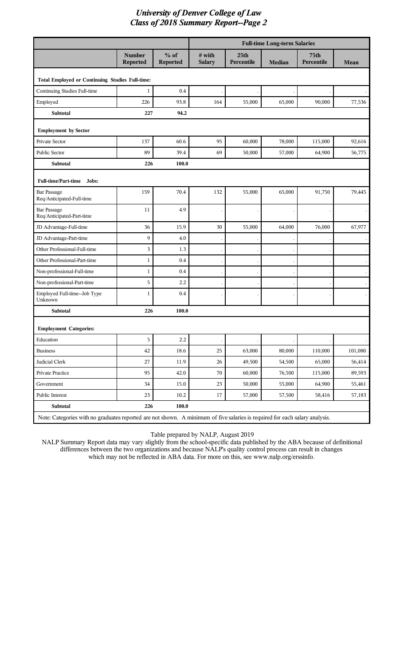|                                                        |                                                                                                                             |                           |                         |                                | <b>Full-time Long-term Salaries</b> |                                |         |  |
|--------------------------------------------------------|-----------------------------------------------------------------------------------------------------------------------------|---------------------------|-------------------------|--------------------------------|-------------------------------------|--------------------------------|---------|--|
|                                                        | <b>Number</b><br>Reported                                                                                                   | $%$ of<br><b>Reported</b> | # with<br><b>Salary</b> | 25 <sub>th</sub><br>Percentile | <b>Median</b>                       | 75 <sub>th</sub><br>Percentile | Mean    |  |
| <b>Total Employed or Continuing Studies Full-time:</b> |                                                                                                                             |                           |                         |                                |                                     |                                |         |  |
| Continuing Studies Full-time                           | 1                                                                                                                           | 0.4                       |                         |                                |                                     |                                |         |  |
| Employed                                               | 226                                                                                                                         | 93.8                      | 164                     | 55,000                         | 65,000                              | 90,000                         | 77,536  |  |
| Subtotal                                               | 227                                                                                                                         | 94.2                      |                         |                                |                                     |                                |         |  |
| <b>Employment by Sector</b>                            |                                                                                                                             |                           |                         |                                |                                     |                                |         |  |
| Private Sector                                         | 137                                                                                                                         | 60.6                      | 95                      | 60,000                         | 78,000                              | 115,000                        | 92,616  |  |
| Public Sector                                          | 89                                                                                                                          | 39.4                      | 69                      | 50,000                         | 57,000                              | 64,900                         | 56,775  |  |
| Subtotal                                               | 226                                                                                                                         | 100.0                     |                         |                                |                                     |                                |         |  |
| Full-time/Part-time Jobs:                              |                                                                                                                             |                           |                         |                                |                                     |                                |         |  |
| <b>Bar Passage</b><br>Req/Anticipated-Full-time        | 159                                                                                                                         | 70.4                      | 132                     | 55,000                         | 65,000                              | 91,750                         | 79,445  |  |
| <b>Bar Passage</b><br>Req/Anticipated-Part-time        | 11                                                                                                                          | 4.9                       |                         |                                |                                     |                                |         |  |
| JD Advantage-Full-time                                 | 36                                                                                                                          | 15.9                      | 30                      | 55,000                         | 64,000                              | 76,000                         | 67,977  |  |
| JD Advantage-Part-time                                 | 9                                                                                                                           | 4.0                       |                         |                                |                                     |                                |         |  |
| Other Professional-Full-time                           | 3                                                                                                                           | 1.3                       |                         |                                |                                     |                                |         |  |
| Other Professional-Part-time                           | $\mathbf{1}$                                                                                                                | 0.4                       |                         |                                |                                     |                                |         |  |
| Non-professional-Full-time                             | $\mathbf{1}$                                                                                                                | 0.4                       |                         |                                |                                     |                                |         |  |
| Non-professional-Part-time                             | 5                                                                                                                           | 2.2                       |                         |                                |                                     |                                |         |  |
| Employed Full-time--Job Type<br>Unknown                | $\mathbf{1}$                                                                                                                | 0.4                       |                         |                                |                                     |                                |         |  |
| Subtotal                                               | 226                                                                                                                         | 100.0                     |                         |                                |                                     |                                |         |  |
| <b>Employment Categories:</b>                          |                                                                                                                             |                           |                         |                                |                                     |                                |         |  |
| Education                                              | 5                                                                                                                           | 2.2                       |                         |                                |                                     |                                |         |  |
| <b>Business</b>                                        | 42                                                                                                                          | 18.6                      | 25                      | 63,000                         | 80,000                              | 110,000                        | 101,080 |  |
| Judicial Clerk                                         | $27\,$                                                                                                                      | 11.9                      | $26\,$                  | 49,500                         | 54,500                              | 65,000                         | 56,414  |  |
| Private Practice                                       | 95                                                                                                                          | 42.0                      | 70                      | 60,000                         | 76,500                              | 115,000                        | 89,593  |  |
| Government                                             | 34                                                                                                                          | 15.0                      | 23                      | 50,000                         | 55,000                              | 64,900                         | 55,461  |  |
| Public Interest                                        | 23                                                                                                                          | 10.2                      | 17                      | 57,000                         | 57,500                              | 58,416                         | 57,183  |  |
| Subtotal                                               | 226                                                                                                                         | 100.0                     |                         |                                |                                     |                                |         |  |
|                                                        | Note: Categories with no graduates reported are not shown. A minimum of five salaries is required for each salary analysis. |                           |                         |                                |                                     |                                |         |  |

Table prepared by NALP, August 2019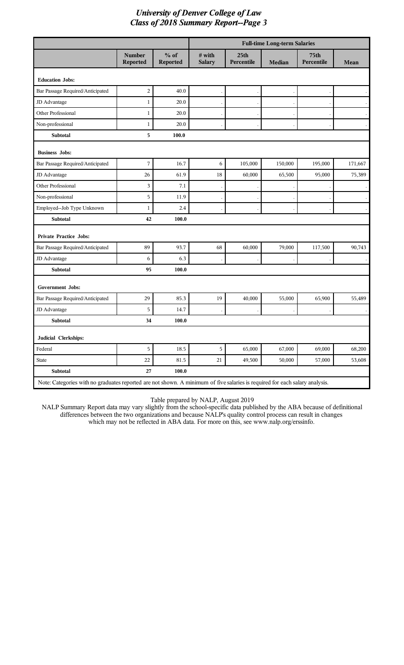|                                                                                                                             |                                  |                    | <b>Full-time Long-term Salaries</b> |                                |               |                           |         |
|-----------------------------------------------------------------------------------------------------------------------------|----------------------------------|--------------------|-------------------------------------|--------------------------------|---------------|---------------------------|---------|
|                                                                                                                             | <b>Number</b><br><b>Reported</b> | $%$ of<br>Reported | # with<br><b>Salary</b>             | 25 <sub>th</sub><br>Percentile | <b>Median</b> | <b>75th</b><br>Percentile | Mean    |
| <b>Education Jobs:</b>                                                                                                      |                                  |                    |                                     |                                |               |                           |         |
| Bar Passage Required/Anticipated                                                                                            | $\overline{c}$                   | 40.0               |                                     |                                |               |                           |         |
| JD Advantage                                                                                                                | 1                                | 20.0               |                                     |                                |               |                           |         |
| Other Professional                                                                                                          | 1                                | 20.0               |                                     |                                |               |                           |         |
| Non-professional                                                                                                            | 1                                | 20.0               |                                     |                                |               |                           |         |
| <b>Subtotal</b>                                                                                                             | 5                                | 100.0              |                                     |                                |               |                           |         |
| <b>Business Jobs:</b>                                                                                                       |                                  |                    |                                     |                                |               |                           |         |
| Bar Passage Required/Anticipated                                                                                            | $\overline{7}$                   | 16.7               | 6                                   | 105,000                        | 150,000       | 195,000                   | 171,667 |
| JD Advantage                                                                                                                | 26                               | 61.9               | 18                                  | 60,000                         | 65,500        | 95,000                    | 75,389  |
| Other Professional                                                                                                          | 3                                | 7.1                |                                     |                                |               |                           |         |
| Non-professional                                                                                                            | 5                                | 11.9               |                                     |                                |               |                           |         |
| Employed--Job Type Unknown                                                                                                  | $\mathbf{1}$                     | 2.4                |                                     |                                |               |                           |         |
| Subtotal                                                                                                                    | 42                               | 100.0              |                                     |                                |               |                           |         |
| <b>Private Practice Jobs:</b>                                                                                               |                                  |                    |                                     |                                |               |                           |         |
| Bar Passage Required/Anticipated                                                                                            | 89                               | 93.7               | 68                                  | 60,000                         | 79,000        | 117,500                   | 90,743  |
| JD Advantage                                                                                                                | 6                                | 6.3                |                                     |                                |               |                           |         |
| <b>Subtotal</b>                                                                                                             | 95                               | 100.0              |                                     |                                |               |                           |         |
| <b>Government Jobs:</b>                                                                                                     |                                  |                    |                                     |                                |               |                           |         |
| Bar Passage Required/Anticipated                                                                                            | 29                               | 85.3               | 19                                  | 40,000                         | 55,000        | 65,900                    | 55,489  |
| JD Advantage                                                                                                                | 5                                | 14.7               |                                     |                                |               |                           |         |
| <b>Subtotal</b>                                                                                                             | 34                               | 100.0              |                                     |                                |               |                           |         |
| Judicial Clerkships:                                                                                                        |                                  |                    |                                     |                                |               |                           |         |
| Federal                                                                                                                     | $\overline{5}$                   | 18.5               | $\overline{5}$                      | 65,000                         | 67,000        | 69,000                    | 68,200  |
| State                                                                                                                       | 22                               | 81.5               | $21\,$                              | 49,500                         | 50,000        | 57,000                    | 53,608  |
| Subtotal                                                                                                                    | $\bf 27$                         | 100.0              |                                     |                                |               |                           |         |
| Note: Categories with no graduates reported are not shown. A minimum of five salaries is required for each salary analysis. |                                  |                    |                                     |                                |               |                           |         |

Table prepared by NALP, August 2019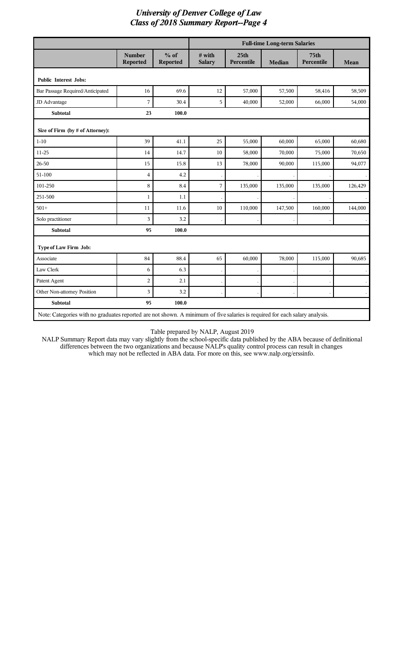|                                                                                                                             |                                  |                    |                         |                                | <b>Full-time Long-term Salaries</b> |                                |                      |
|-----------------------------------------------------------------------------------------------------------------------------|----------------------------------|--------------------|-------------------------|--------------------------------|-------------------------------------|--------------------------------|----------------------|
|                                                                                                                             | <b>Number</b><br><b>Reported</b> | $%$ of<br>Reported | # with<br><b>Salary</b> | 25 <sub>th</sub><br>Percentile | <b>Median</b>                       | 75 <sub>th</sub><br>Percentile | Mean                 |
| <b>Public Interest Jobs:</b>                                                                                                |                                  |                    |                         |                                |                                     |                                |                      |
| Bar Passage Required/Anticipated                                                                                            | 16                               | 69.6               | 12                      | 57,000                         | 57,500                              | 58,416                         | 58,509               |
| JD Advantage                                                                                                                | 7                                | 30.4               | 5                       | 40,000                         | 52,000                              | 66,000                         | 54,000               |
| <b>Subtotal</b>                                                                                                             | 23                               | 100.0              |                         |                                |                                     |                                |                      |
| Size of Firm (by # of Attorney):                                                                                            |                                  |                    |                         |                                |                                     |                                |                      |
| $1 - 10$                                                                                                                    | 39                               | 41.1               | 25                      | 55,000                         | 60,000                              | 65,000                         | 60,680               |
| $11 - 25$                                                                                                                   | 14                               | 14.7               | 10                      | 58,000                         | 70,000                              | 75,000                         | 70,650               |
| 26-50                                                                                                                       | 15                               | 15.8               | 13                      | 78,000                         | 90,000                              | 115,000                        | 94,077               |
| 51-100                                                                                                                      | $\overline{4}$                   | 4.2                |                         |                                |                                     |                                |                      |
| 101-250                                                                                                                     | 8                                | 8.4                | 7                       | 135,000                        | 135,000                             | 135,000                        | 126,429              |
| 251-500                                                                                                                     | $\mathbf{1}$                     | 1.1                |                         |                                |                                     |                                |                      |
| $501+$                                                                                                                      | 11                               | 11.6               | 10                      | 110,000                        | 147,500                             | 160,000                        | 144,000              |
| Solo practitioner                                                                                                           | 3                                | 3.2                |                         |                                |                                     |                                | $\bullet$            |
| <b>Subtotal</b>                                                                                                             | 95                               | 100.0              |                         |                                |                                     |                                |                      |
| Type of Law Firm Job:                                                                                                       |                                  |                    |                         |                                |                                     |                                |                      |
| Associate                                                                                                                   | 84                               | 88.4               | 65                      | 60,000                         | 78,000                              | 115,000                        | 90,685               |
| Law Clerk                                                                                                                   | 6                                | 6.3                |                         |                                |                                     |                                |                      |
| Patent Agent                                                                                                                | $\overline{a}$                   | 2.1                |                         |                                |                                     |                                | $\ddot{\phantom{a}}$ |
| Other Non-attorney Position                                                                                                 | 3                                | 3.2                |                         |                                |                                     |                                |                      |
| <b>Subtotal</b>                                                                                                             | 95                               | 100.0              |                         |                                |                                     |                                |                      |
| Note: Categories with no graduates reported are not shown. A minimum of five salaries is required for each salary analysis. |                                  |                    |                         |                                |                                     |                                |                      |

Table prepared by NALP, August 2019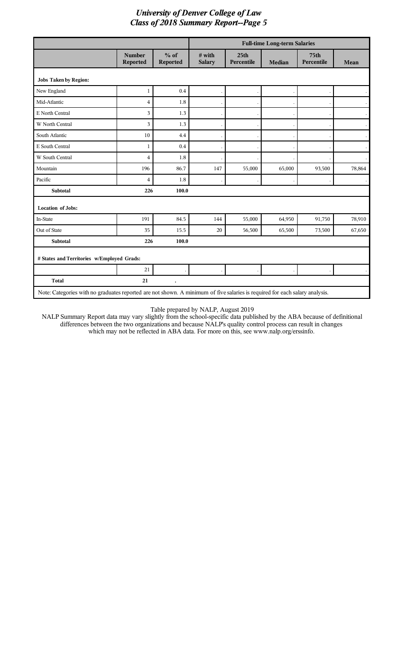|                                                                                                                             |                                  |                    |                         |                                | <b>Full-time Long-term Salaries</b> |                           |           |
|-----------------------------------------------------------------------------------------------------------------------------|----------------------------------|--------------------|-------------------------|--------------------------------|-------------------------------------|---------------------------|-----------|
|                                                                                                                             | <b>Number</b><br><b>Reported</b> | $%$ of<br>Reported | # with<br><b>Salary</b> | 25 <sub>th</sub><br>Percentile | <b>Median</b>                       | <b>75th</b><br>Percentile | Mean      |
| <b>Jobs Taken by Region:</b>                                                                                                |                                  |                    |                         |                                |                                     |                           |           |
| New England                                                                                                                 | 1                                | 0.4                |                         |                                |                                     |                           |           |
| Mid-Atlantic                                                                                                                | 4                                | 1.8                |                         |                                |                                     |                           |           |
| E North Central                                                                                                             | 3                                | 1.3                |                         |                                |                                     |                           | $\lambda$ |
| W North Central                                                                                                             | 3                                | 1.3                |                         |                                |                                     |                           | $\bullet$ |
| South Atlantic                                                                                                              | 10                               | 4.4                |                         |                                |                                     |                           | $\bullet$ |
| E South Central                                                                                                             | 1                                | 0.4                |                         |                                |                                     |                           | $\lambda$ |
| W South Central                                                                                                             | $\overline{4}$                   | 1.8                |                         |                                |                                     |                           |           |
| Mountain                                                                                                                    | 196                              | 86.7               | 147                     | 55,000                         | 65,000                              | 93,500                    | 78,864    |
| Pacific                                                                                                                     | 4                                | 1.8                |                         |                                |                                     |                           |           |
| Subtotal                                                                                                                    | 226                              | 100.0              |                         |                                |                                     |                           |           |
| <b>Location of Jobs:</b>                                                                                                    |                                  |                    |                         |                                |                                     |                           |           |
| In-State                                                                                                                    | 191                              | 84.5               | 144                     | 55,000                         | 64,950                              | 91,750                    | 78,910    |
| Out of State                                                                                                                | 35                               | 15.5               | 20                      | 56,500                         | 65,500                              | 73,500                    | 67,650    |
| Subtotal                                                                                                                    | 226                              | 100.0              |                         |                                |                                     |                           |           |
| # States and Territories w/Employed Grads:                                                                                  |                                  |                    |                         |                                |                                     |                           |           |
|                                                                                                                             | 21                               |                    |                         |                                |                                     |                           |           |
| <b>Total</b>                                                                                                                | 21                               |                    |                         |                                |                                     |                           |           |
| Note: Categories with no graduates reported are not shown. A minimum of five salaries is required for each salary analysis. |                                  |                    |                         |                                |                                     |                           |           |

Table prepared by NALP, August 2019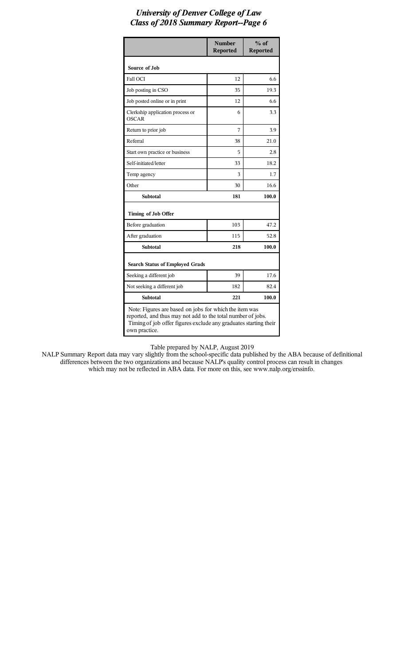|                                                                                                                                                                                           | <b>Number</b><br><b>Reported</b> | $%$ of<br><b>Reported</b> |
|-------------------------------------------------------------------------------------------------------------------------------------------------------------------------------------------|----------------------------------|---------------------------|
| Source of Job                                                                                                                                                                             |                                  |                           |
| <b>Fall OCI</b>                                                                                                                                                                           | 12                               | 6.6                       |
| Job posting in CSO                                                                                                                                                                        | 35                               | 19.3                      |
| Job posted online or in print                                                                                                                                                             | 12                               | 6.6                       |
| Clerkship application process or<br><b>OSCAR</b>                                                                                                                                          | 6                                | 3.3                       |
| Return to prior job                                                                                                                                                                       | 7                                | 3.9                       |
| Referral                                                                                                                                                                                  | 38                               | 21.0                      |
| Start own practice or business                                                                                                                                                            | 5                                | 2.8                       |
| Self-initiated/letter                                                                                                                                                                     | 33                               | 18.2                      |
| Temp agency                                                                                                                                                                               | 3                                | 1.7                       |
| Other                                                                                                                                                                                     | 30                               | 16.6                      |
| <b>Subtotal</b>                                                                                                                                                                           | 181                              | 100.0                     |
| Timing of Job Offer                                                                                                                                                                       |                                  |                           |
| Before graduation                                                                                                                                                                         | 103                              | 47.2                      |
| After graduation                                                                                                                                                                          | 115                              | 52.8                      |
| <b>Subtotal</b>                                                                                                                                                                           | 218                              | 100.0                     |
| <b>Search Status of Employed Grads</b>                                                                                                                                                    |                                  |                           |
| Seeking a different job                                                                                                                                                                   | 39                               | 17.6                      |
| Not seeking a different job                                                                                                                                                               | 182                              | 82.4                      |
| <b>Subtotal</b>                                                                                                                                                                           | 221                              | 100.0                     |
| Note: Figures are based on jobs for which the item was<br>reported, and thus may not add to the total number of jobs.<br>Timing of job offer figures exclude any graduates starting their |                                  |                           |

own practice.

Table prepared by NALP, August 2019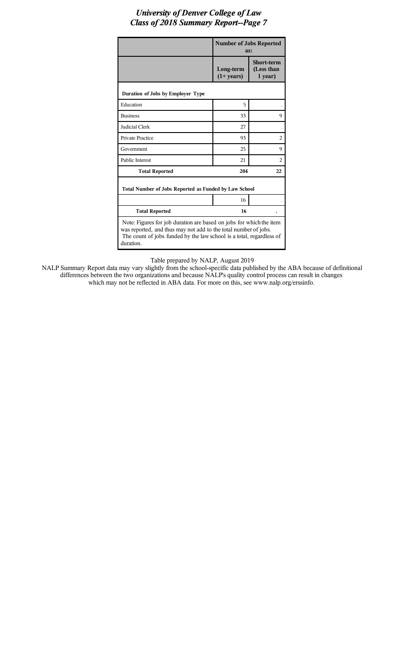|                                                                                                                                                                                                                             | <b>Number of Jobs Reported</b><br>as: |                                            |  |  |  |
|-----------------------------------------------------------------------------------------------------------------------------------------------------------------------------------------------------------------------------|---------------------------------------|--------------------------------------------|--|--|--|
|                                                                                                                                                                                                                             | Long-term<br>$(1+ years)$             | <b>Short-term</b><br>(Less than<br>1 year) |  |  |  |
| Duration of Jobs by Employer Type                                                                                                                                                                                           |                                       |                                            |  |  |  |
| Education                                                                                                                                                                                                                   | 5                                     |                                            |  |  |  |
| <b>Business</b>                                                                                                                                                                                                             | 33                                    | 9                                          |  |  |  |
| Judicial Clerk                                                                                                                                                                                                              | 27                                    |                                            |  |  |  |
| <b>Private Practice</b>                                                                                                                                                                                                     | 93                                    | $\mathfrak{D}_{1}$                         |  |  |  |
| Government                                                                                                                                                                                                                  | 25                                    | 9                                          |  |  |  |
| <b>Public Interest</b>                                                                                                                                                                                                      | 21                                    | 2                                          |  |  |  |
| <b>Total Reported</b>                                                                                                                                                                                                       | 204                                   | 22                                         |  |  |  |
| Total Number of Jobs Reported as Funded by Law School                                                                                                                                                                       |                                       |                                            |  |  |  |
|                                                                                                                                                                                                                             | 16                                    |                                            |  |  |  |
| <b>Total Reported</b>                                                                                                                                                                                                       | 16                                    |                                            |  |  |  |
| Note: Figures for job duration are based on jobs for which the item<br>was reported, and thus may not add to the total number of jobs.<br>The count of jobs funded by the law school is a total, regardless of<br>duration. |                                       |                                            |  |  |  |

Table prepared by NALP, August 2019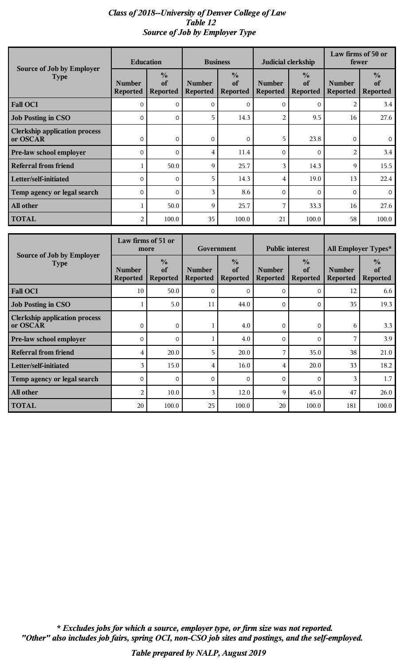#### *Class of 2018--University of Denver College of Law Table 12 Source of Job by Employer Type*

|                                                  | <b>Education</b>                 |                                        | <b>Business</b>                  |                                        | Judicial clerkship               |                                        | Law firms of 50 or<br>fewer      |                                        |
|--------------------------------------------------|----------------------------------|----------------------------------------|----------------------------------|----------------------------------------|----------------------------------|----------------------------------------|----------------------------------|----------------------------------------|
| Source of Job by Employer<br><b>Type</b>         | <b>Number</b><br><b>Reported</b> | $\frac{0}{0}$<br>of<br><b>Reported</b> | <b>Number</b><br><b>Reported</b> | $\frac{0}{0}$<br>of<br><b>Reported</b> | <b>Number</b><br><b>Reported</b> | $\frac{0}{0}$<br>of<br><b>Reported</b> | <b>Number</b><br><b>Reported</b> | $\frac{6}{6}$<br>of<br><b>Reported</b> |
| <b>Fall OCI</b>                                  | $\mathbf{O}$                     | $\mathbf{0}$                           | $\Omega$                         | $\overline{0}$                         | $\Omega$                         | $\overline{0}$                         | $\overline{2}$                   | 3.4                                    |
| <b>Job Posting in CSO</b>                        | $\mathbf{0}$                     | $\mathbf{0}$                           | 5                                | 14.3                                   | 2                                | 9.5                                    | 16                               | 27.6                                   |
| <b>Clerkship application process</b><br>or OSCAR | $\Omega$                         | 0                                      | $\Omega$                         | $\overline{0}$                         | 5                                | 23.8                                   | $\Omega$                         | $\overline{0}$                         |
| Pre-law school employer                          | $\Omega$                         | $\Omega$                               | $\overline{4}$                   | 11.4                                   | $\Omega$                         | $\Omega$                               | $\overline{2}$                   | 3.4                                    |
| <b>Referral from friend</b>                      |                                  | 50.0                                   | 9                                | 25.7                                   | 3                                | 14.3                                   | 9                                | 15.5                                   |
| Letter/self-initiated                            | $\Omega$                         | $\Omega$                               | 5                                | 14.3                                   | $\overline{4}$                   | 19.0                                   | 13                               | 22.4                                   |
| Temp agency or legal search                      | $\Omega$                         | $\Omega$                               | 3                                | 8.6                                    | $\Omega$                         | $\Omega$                               | $\Omega$                         | $\Omega$                               |
| All other                                        |                                  | 50.0                                   | 9                                | 25.7                                   | 7                                | 33.3                                   | 16                               | 27.6                                   |
| <b>TOTAL</b>                                     | $\overline{2}$                   | 100.0                                  | 35                               | 100.0                                  | 21                               | 100.0                                  | 58                               | 100.0                                  |

| <b>Source of Job by Employer</b>                 | Law firms of 51 or<br>more       |                                        | Government                       |                                        | <b>Public interest</b>           |                                        | All Employer Types*              |                                        |
|--------------------------------------------------|----------------------------------|----------------------------------------|----------------------------------|----------------------------------------|----------------------------------|----------------------------------------|----------------------------------|----------------------------------------|
| <b>Type</b>                                      | <b>Number</b><br><b>Reported</b> | $\frac{0}{0}$<br>of<br><b>Reported</b> | <b>Number</b><br><b>Reported</b> | $\frac{0}{0}$<br>of<br><b>Reported</b> | <b>Number</b><br><b>Reported</b> | $\frac{0}{0}$<br>of<br><b>Reported</b> | <b>Number</b><br><b>Reported</b> | $\frac{0}{0}$<br>of<br><b>Reported</b> |
| <b>Fall OCI</b>                                  | 10                               | 50.0                                   | 0                                | $\mathbf{O}$                           | $\mathbf{0}$                     | $\overline{O}$                         | 12                               | 6.6                                    |
| <b>Job Posting in CSO</b>                        |                                  | 5.0                                    | 11                               | 44.0                                   | $\Omega$                         | $\Omega$                               | 35                               | 19.3                                   |
| <b>Clerkship application process</b><br>or OSCAR | $\Omega$                         | $\Omega$                               |                                  | 4.0                                    | $\Omega$                         | $\mathbf{O}$                           | 6                                | 3.3                                    |
| Pre-law school employer                          | $\Omega$                         | $\Omega$                               |                                  | 4.0                                    | $\mathbf{0}$                     | $\overline{0}$                         | 7                                | 3.9                                    |
| <b>Referral from friend</b>                      | 4                                | 20.0                                   | 5                                | 20.0                                   | 7                                | 35.0                                   | 38                               | 21.0                                   |
| Letter/self-initiated                            | 3                                | 15.0                                   | 4                                | 16.0                                   | 4                                | 20.0                                   | 33                               | 18.2                                   |
| Temp agency or legal search                      | $\Omega$                         | $\Omega$                               | $\Omega$                         | $\Omega$                               | $\Omega$                         | $\Omega$                               | 3                                | 1.7                                    |
| All other                                        | $\overline{2}$                   | 10.0                                   | 3                                | 12.0                                   | 9                                | 45.0                                   | 47                               | 26.0                                   |
| <b>TOTAL</b>                                     | 20                               | 100.0                                  | 25                               | 100.0                                  | 20                               | 100.0                                  | 181                              | 100.0                                  |

*"Other" also includes job fairs, spring OCI, non-CSO job sites and postings, and the self-employed. \* Excludes jobs for which a source, employer type, or firm size was not reported.*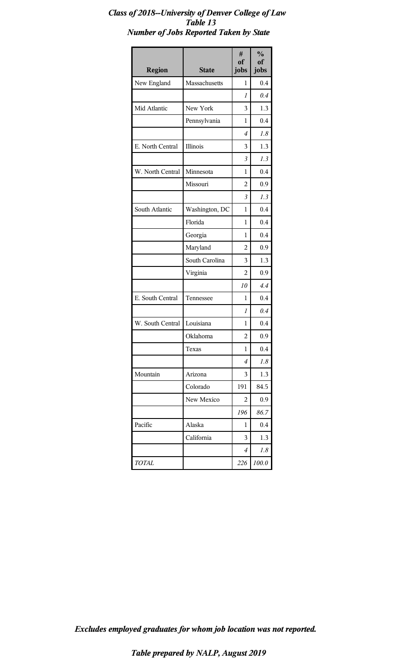#### *Class of 2018--University of Denver College of Law Table 13 Number of Jobs Reported Taken by State*

| <b>Region</b>    | <b>State</b>   | #<br>of<br>jobs | $\frac{0}{0}$<br>of<br>jobs |
|------------------|----------------|-----------------|-----------------------------|
| New England      | Massachusetts  | 1               | 0.4                         |
|                  |                | 1               | 0.4                         |
| Mid Atlantic     | New York       | 3               | 1.3                         |
|                  | Pennsylvania   | 1               | 0.4                         |
|                  |                | 4               | 1.8                         |
| E. North Central | Illinois       | 3               | 1.3                         |
|                  |                | $\overline{3}$  | 1.3                         |
| W. North Central | Minnesota      | 1               | 0.4                         |
|                  | Missouri       | 2               | 0.9                         |
|                  |                | 3               | 1.3                         |
| South Atlantic   | Washington, DC | 1               | 0.4                         |
|                  | Florida        | 1               | 0.4                         |
|                  | Georgia        | 1               | 0.4                         |
|                  | Maryland       | 2               | 0.9                         |
|                  | South Carolina | 3               | 1.3                         |
|                  | Virginia       | 2               | 0.9                         |
|                  |                | 10              | 4.4                         |
| E. South Central | Tennessee      | 1               | 0.4                         |
|                  |                | 1               | 0.4                         |
| W. South Central | Louisiana      | 1               | 0.4                         |
|                  | Oklahoma       | 2               | 0.9                         |
|                  | Texas          | 1               | 0.4                         |
|                  |                | 4               | 1.8                         |
| Mountain         | Arizona        | 3               | 1.3                         |
|                  | Colorado       | 191             | 84.5                        |
|                  | New Mexico     | 2               | 0.9                         |
|                  |                | 196             | 86.7                        |
| Pacific          | Alaska         | 1               | 0.4                         |
|                  | California     | 3               | 1.3                         |
|                  |                | 4               | 1.8                         |
| <b>TOTAL</b>     |                | 226             | 100.0                       |

*Excludes employed graduates for whom job location was not reported.*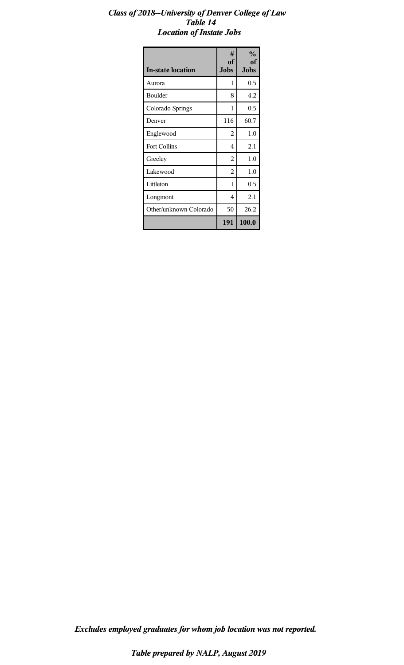#### *Class of 2018--University of Denver College of Law Table 14 Location of Instate Jobs*

| <b>In-state location</b> | #<br>of<br><b>Jobs</b> | $\frac{0}{0}$<br>оf<br><b>Jobs</b> |
|--------------------------|------------------------|------------------------------------|
| Aurora                   | 1                      | 0.5                                |
| Boulder                  | 8                      | 4.2                                |
| Colorado Springs         | 1                      | 0.5                                |
| Denver                   | 116                    | 60.7                               |
| Englewood                | 2                      | 1.0                                |
| <b>Fort Collins</b>      | 4                      | 2.1                                |
| Greeley                  | 2                      | 1.0                                |
| Lakewood                 | 2                      | 1.0                                |
| Littleton                | 1                      | $0.5\,$                            |
| Longmont                 | 4                      | 2.1                                |
| Other/unknown Colorado   | 50                     | 26.2                               |
|                          | 191                    | 100.0                              |

*Excludes employed graduates for whom job location was not reported.*